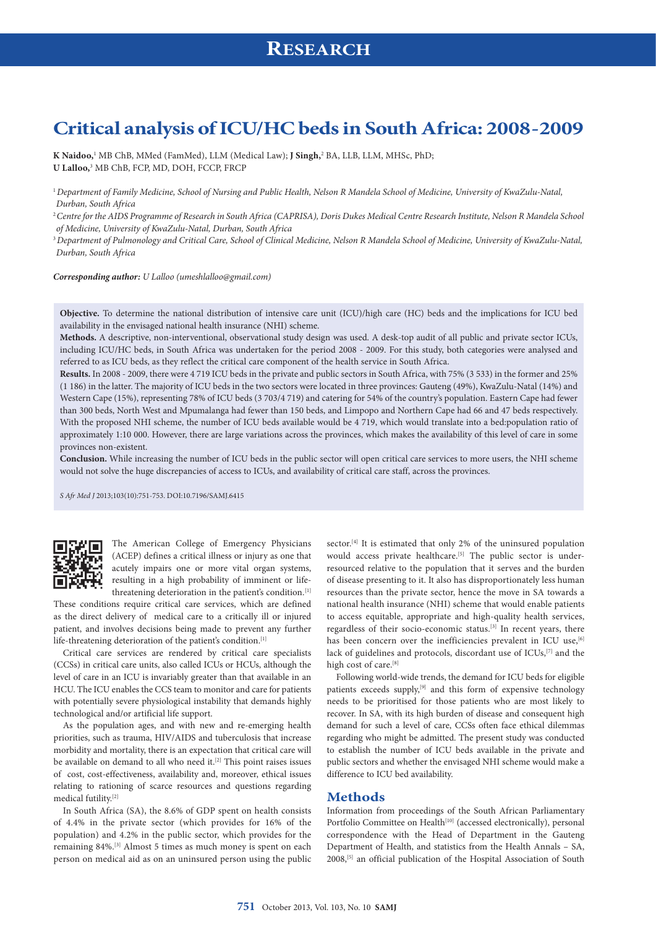## **RESEARCH**

# **Critical analysis of ICU/HC beds in South Africa: 2008-2009**

**K Naidoo,**<sup>1</sup> MB ChB, MMed (FamMed), LLM (Medical Law); **J Singh,**<sup>2</sup> BA, LLB, LLM, MHSc, PhD; **U Lalloo,**<sup>3</sup> MB ChB, FCP, MD, DOH, FCCP, FRCP

<sup>2</sup>*Centre for the AIDS Programme of Research in South Africa (CAPRISA), Doris Dukes Medical Centre Research Institute, Nelson R Mandela School of Medicine, University of KwaZulu-Natal, Durban, South Africa*

<sup>3</sup>*Department of Pulmonology and Critical Care, School of Clinical Medicine, Nelson R Mandela School of Medicine, University of KwaZulu-Natal, Durban, South Africa*

*Corresponding author: U Lalloo ([umeshlalloo@gmail.com\)](mailto:umeshlalloo@gmail.com)*

**Objective.** To determine the national distribution of intensive care unit (ICU)/high care (HC) beds and the implications for ICU bed availability in the envisaged national health insurance (NHI) scheme.

**Methods.** A descriptive, non-interventional, observational study design was used. A desk-top audit of all public and private sector ICUs, including ICU/HC beds, in South Africa was undertaken for the period 2008 - 2009. For this study, both categories were analysed and referred to as ICU beds, as they reflect the critical care component of the health service in South Africa.

**Results.** In 2008 - 2009, there were 4 719 ICU beds in the private and public sectors in South Africa, with 75% (3 533) in the former and 25% (1 186) in the latter. The majority of ICU beds in the two sectors were located in three provinces: Gauteng (49%), KwaZulu-Natal (14%) and Western Cape (15%), representing 78% of ICU beds (3 703/4 719) and catering for 54% of the country's population. Eastern Cape had fewer than 300 beds, North West and Mpumalanga had fewer than 150 beds, and Limpopo and Northern Cape had 66 and 47 beds respectively. With the proposed NHI scheme, the number of ICU beds available would be 4 719, which would translate into a bed:population ratio of approximately 1:10 000. However, there are large variations across the provinces, which makes the availability of this level of care in some provinces non-existent.

**Conclusion.** While increasing the number of ICU beds in the public sector will open critical care services to more users, the NHI scheme would not solve the huge discrepancies of access to ICUs, and availability of critical care staff, across the provinces.

*S Afr Med J* 2013;103(10):751-753. DOI:10.7196/SAMJ.6415



The American College of Emergency Physicians (ACEP) defines a critical illness or injury as one that acutely impairs one or more vital organ systems, resulting in a high probability of imminent or lifethreatening deterioration in the patient's condition.<sup>[1]</sup>

These conditions require critical care services, which are defined as the direct delivery of medical care to a critically ill or injured patient, and involves decisions being made to prevent any further life-threatening deterioration of the patient's condition.[1]

Critical care services are rendered by critical care specialists (CCSs) in critical care units, also called ICUs or HCUs, although the level of care in an ICU is invariably greater than that available in an HCU. The ICU enables the CCS team to monitor and care for patients with potentially severe physiological instability that demands highly technological and/or artificial life support.

As the population ages, and with new and re-emerging health priorities, such as trauma, HIV/AIDS and tuberculosis that increase morbidity and mortality, there is an expectation that critical care will be available on demand to all who need it.<sup>[2]</sup> This point raises issues of cost, cost-effectiveness, availability and, moreover, ethical issues relating to rationing of scarce resources and questions regarding medical futility.[2]

In South Africa (SA), the 8.6% of GDP spent on health consists of 4.4% in the private sector (which provides for 16% of the population) and 4.2% in the public sector, which provides for the remaining 84%.[3] Almost 5 times as much money is spent on each person on medical aid as on an uninsured person using the public

sector.<sup>[4]</sup> It is estimated that only 2% of the uninsured population would access private healthcare.<sup>[5]</sup> The public sector is underresourced relative to the population that it serves and the burden of disease presenting to it. It also has disproportionately less human resources than the private sector, hence the move in SA towards a national health insurance (NHI) scheme that would enable patients to access equitable, appropriate and high-quality health services, regardless of their socio-economic status.[3] In recent years, there has been concern over the inefficiencies prevalent in ICU use, [6] lack of guidelines and protocols, discordant use of ICUs,<sup>[7]</sup> and the high cost of care.<sup>[8]</sup>

Following world-wide trends, the demand for ICU beds for eligible patients exceeds supply,<sup>[9]</sup> and this form of expensive technology needs to be prioritised for those patients who are most likely to recover. In SA, with its high burden of disease and consequent high demand for such a level of care, CCSs often face ethical dilemmas regarding who might be admitted. The present study was conducted to establish the number of ICU beds available in the private and public sectors and whether the envisaged NHI scheme would make a difference to ICU bed availability.

#### **Methods**

Information from proceedings of the South African Parliamentary Portfolio Committee on Health<sup>[10]</sup> (accessed electronically), personal correspondence with the Head of Department in the Gauteng Department of Health, and statistics from the Health Annals – SA, 2008,[5] an official publication of the Hospital Association of South

<sup>1</sup>*Department of Family Medicine, School of Nursing and Public Health, Nelson R Mandela School of Medicine, University of KwaZulu-Natal, Durban, South Africa*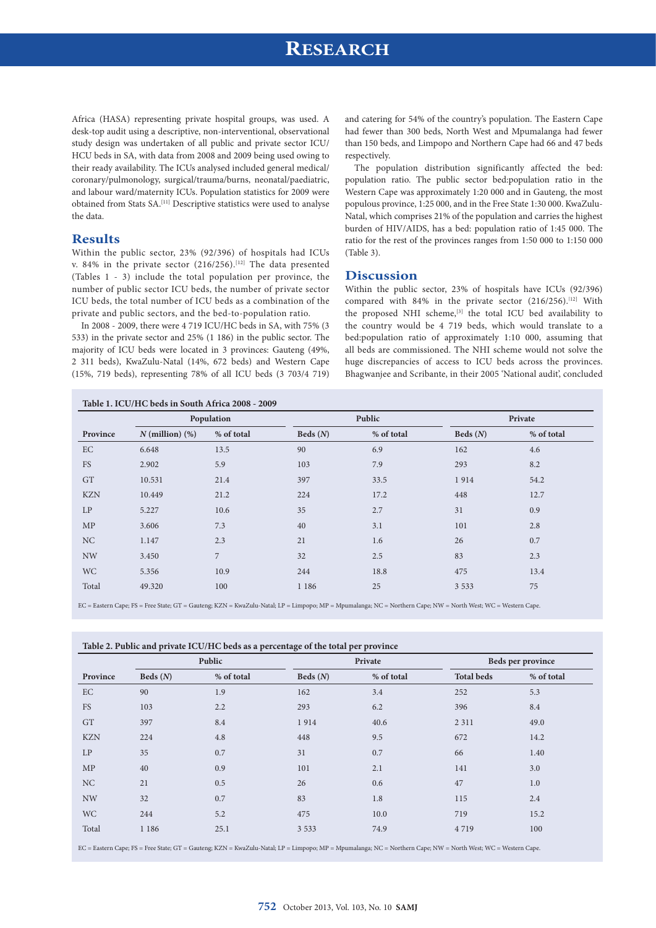## **RESEARCH**

Africa (HASA) representing private hospital groups, was used. A desk-top audit using a descriptive, non-interventional, observational study design was undertaken of all public and private sector ICU/ HCU beds in SA, with data from 2008 and 2009 being used owing to their ready availability. The ICUs analysed included general medical/ coronary/pulmonology, surgical/trauma/burns, neonatal/paediatric, and labour ward/maternity ICUs. Population statistics for 2009 were obtained from Stats SA.[11] Descriptive statistics were used to analyse the data.

### **Results**

Within the public sector, 23% (92/396) of hospitals had ICUs v. 84% in the private sector  $(216/256)$ .<sup>[12]</sup> The data presented (Tables 1 - 3) include the total population per province, the number of public sector ICU beds, the number of private sector ICU beds, the total number of ICU beds as a combination of the private and public sectors, and the bed-to-population ratio.

In 2008 - 2009, there were 4 719 ICU/HC beds in SA, with 75% (3 533) in the private sector and 25% (1 186) in the public sector. The majority of ICU beds were located in 3 provinces: Gauteng (49%, 2 311 beds), KwaZulu-Natal (14%, 672 beds) and Western Cape (15%, 719 beds), representing 78% of all ICU beds (3 703/4 719) and catering for 54% of the country's population. The Eastern Cape had fewer than 300 beds, North West and Mpumalanga had fewer than 150 beds, and Limpopo and Northern Cape had 66 and 47 beds respectively.

The population distribution significantly affected the bed: population ratio. The public sector bed:population ratio in the Western Cape was approximately 1:20 000 and in Gauteng, the most populous province, 1:25 000, and in the Free State 1:30 000. KwaZulu-Natal, which comprises 21% of the population and carries the highest burden of HIV/AIDS, has a bed: population ratio of 1:45 000. The ratio for the rest of the provinces ranges from 1:50 000 to 1:150 000 (Table 3).

#### **Discussion**

Within the public sector, 23% of hospitals have ICUs (92/396) compared with 84% in the private sector (216/256).<sup>[12]</sup> With the proposed NHI scheme,<sup>[3]</sup> the total ICU bed availability to the country would be 4 719 beds, which would translate to a bed:population ratio of approximately 1:10 000, assuming that all beds are commissioned. The NHI scheme would not solve the huge discrepancies of access to ICU beds across the provinces. Bhagwanjee and Scribante, in their 2005 'National audit', concluded

| Province   | Population           |                |            | Public     |            | Private    |  |
|------------|----------------------|----------------|------------|------------|------------|------------|--|
|            | $N$ (million) $(\%)$ | % of total     | Beds $(N)$ | % of total | Beds $(N)$ | % of total |  |
| EC         | 6.648                | 13.5           | 90         | 6.9        | 162        | 4.6        |  |
| FS         | 2.902                | 5.9            | 103        | 7.9        | 293        | 8.2        |  |
| <b>GT</b>  | 10.531               | 21.4           | 397        | 33.5       | 1914       | 54.2       |  |
| <b>KZN</b> | 10.449               | 21.2           | 224        | 17.2       | 448        | 12.7       |  |
| LP         | 5.227                | 10.6           | 35         | 2.7        | 31         | 0.9        |  |
| MP         | 3.606                | 7.3            | 40         | 3.1        | 101        | 2.8        |  |
| NC         | 1.147                | 2.3            | 21         | 1.6        | 26         | 0.7        |  |
| <b>NW</b>  | 3.450                | $\overline{7}$ | 32         | 2.5        | 83         | 2.3        |  |
| <b>WC</b>  | 5.356                | 10.9           | 244        | 18.8       | 475        | 13.4       |  |
| Total      | 49.320               | 100            | 1 1 8 6    | 25         | 3 5 3 3    | 75         |  |

EC = Eastern Cape; FS = Free State; GT = Gauteng; KZN = KwaZulu-Natal; LP = Limpopo; MP = Mpumalanga; NC = Northern Cape; NW = North West; WC = Western Cape.

| Table 2. Public and private ICU/HC beds as a percentage of the total per province |  |  |  |
|-----------------------------------------------------------------------------------|--|--|--|
|-----------------------------------------------------------------------------------|--|--|--|

|            | Public     |            | Private    |            | Beds per province |            |
|------------|------------|------------|------------|------------|-------------------|------------|
| Province   | Beds $(N)$ | % of total | Beds $(N)$ | % of total | <b>Total beds</b> | % of total |
| EC         | 90         | 1.9        | 162        | 3.4        | 252               | 5.3        |
| <b>FS</b>  | 103        | 2.2        | 293        | 6.2        | 396               | 8.4        |
| <b>GT</b>  | 397        | 8.4        | 1914       | 40.6       | 2 3 1 1           | 49.0       |
| <b>KZN</b> | 224        | 4.8        | 448        | 9.5        | 672               | 14.2       |
| LP         | 35         | 0.7        | 31         | 0.7        | 66                | 1.40       |
| MP         | 40         | 0.9        | 101        | 2.1        | 141               | 3.0        |
| NC         | 21         | 0.5        | 26         | 0.6        | 47                | 1.0        |
| <b>NW</b>  | 32         | 0.7        | 83         | 1.8        | 115               | 2.4        |
| <b>WC</b>  | 244        | 5.2        | 475        | 10.0       | 719               | 15.2       |
| Total      | 1 1 8 6    | 25.1       | 3 5 3 3    | 74.9       | 4719              | 100        |
|            |            |            |            |            |                   |            |

EC = Eastern Cape; FS = Free State; GT = Gauteng; KZN = KwaZulu-Natal; LP = Limpopo; MP = Mpumalanga; NC = Northern Cape; NW = North West; WC = Western Cape.